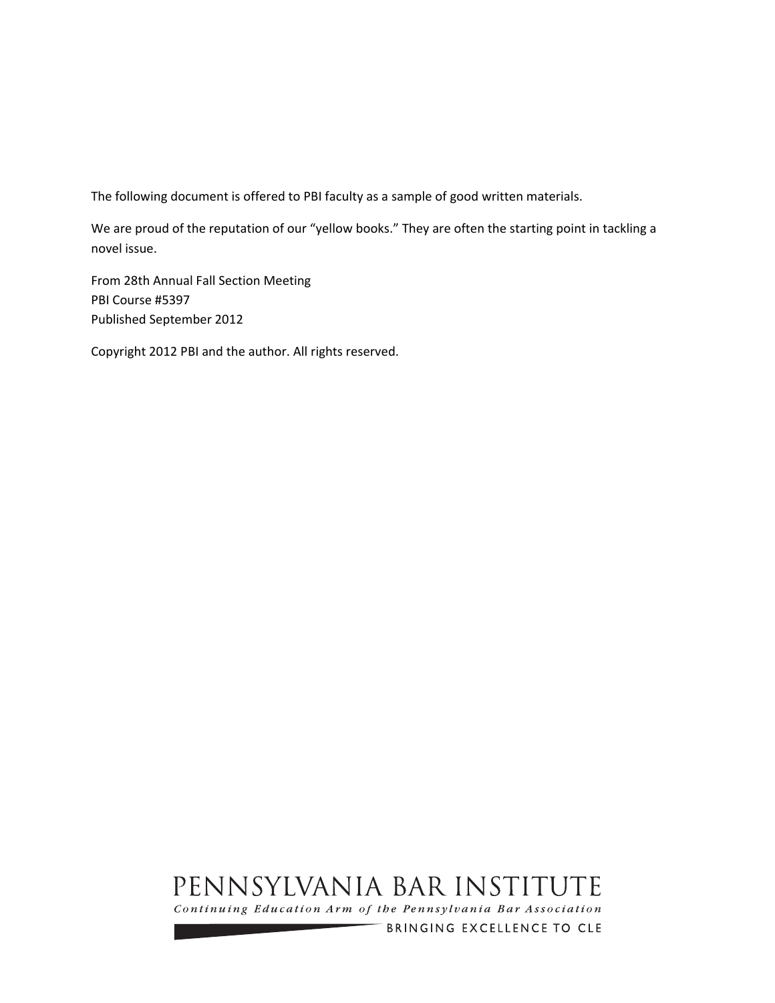The following document is offered to PBI faculty as a sample of good written materials.

We are proud of the reputation of our "yellow books." They are often the starting point in tackling a novel issue.

From 28th Annual Fall Section Meeting PBI Course #5397 Published September 2012

Copyright 2012 PBI and the author. All rights reserved.

# PENNSYLVANIA BAR INSTITUTE

Continuing Education Arm of the Pennsylvania Bar Association

BRINGING EXCELLENCE TO CLE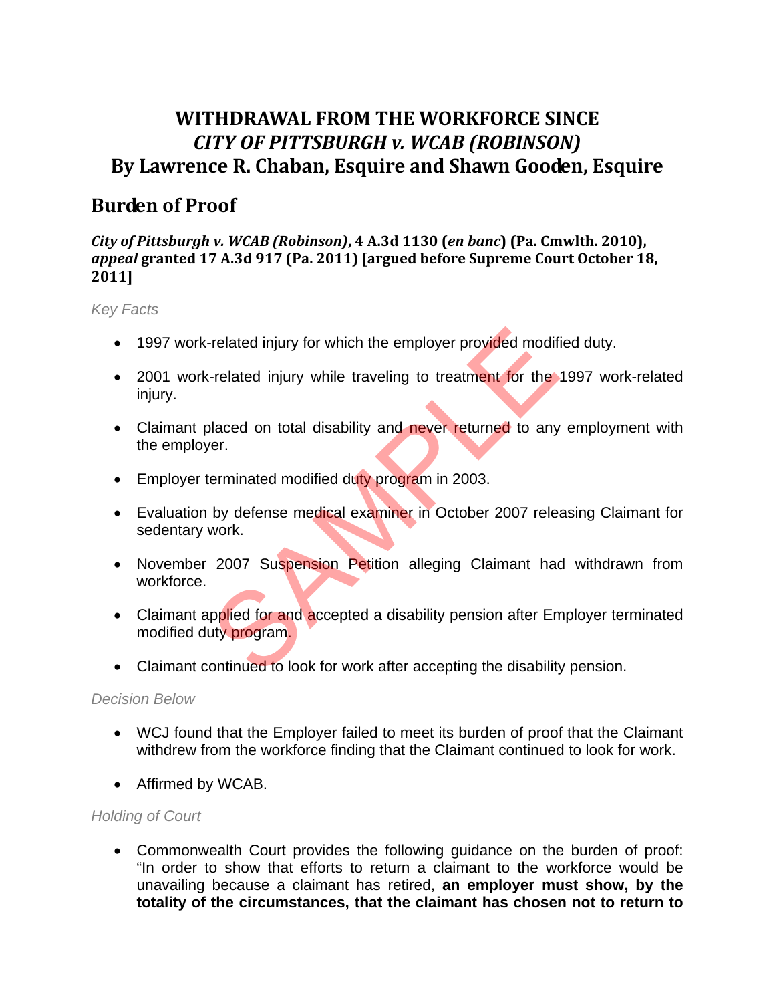# **WITHDRAWAL FROM THE WORKFORCE SINCE** *CITY OF PITTSBURGH v. WCAB (ROBINSON)* **By Lawrence R. Chaban, Esquire and Shawn Gooden, Esquire**

# **Burden of Proof**

# *City of Pittsburgh v. WCAB (Robinson)***, 4 A.3d 1130 (***en banc***) (Pa. Cmwlth. 2010),** *appeal* **granted 17 A.3d 917 (Pa. 2011) [argued before Supreme Court October 18, 2011]**

*Key Facts* 

- 1997 work-related injury for which the employer provided modified duty.
- 2001 work-related injury while traveling to treatment for the 1997 work-related injury.
- Claimant placed on total disability and never returned to any employment with the employer.
- **Employer terminated modified duty program in 2003.**
- Evaluation by defense medical examiner in October 2007 releasing Claimant for sedentary work.
- November 2007 Suspension Petition alleging Claimant had withdrawn from workforce. related injury for which the employer provided modifi-related injury while traveling to treatment for the placed on total disability and never returned to any erreminated modified duty program in 2003.<br>By defense medical e
- Claimant applied for and accepted a disability pension after Employer terminated modified duty program.
- Claimant continued to look for work after accepting the disability pension.

# *Decision Below*

- WCJ found that the Employer failed to meet its burden of proof that the Claimant withdrew from the workforce finding that the Claimant continued to look for work.
- Affirmed by WCAB.

# *Holding of Court*

 Commonwealth Court provides the following guidance on the burden of proof: "In order to show that efforts to return a claimant to the workforce would be unavailing because a claimant has retired, **an employer must show, by the totality of the circumstances, that the claimant has chosen not to return to**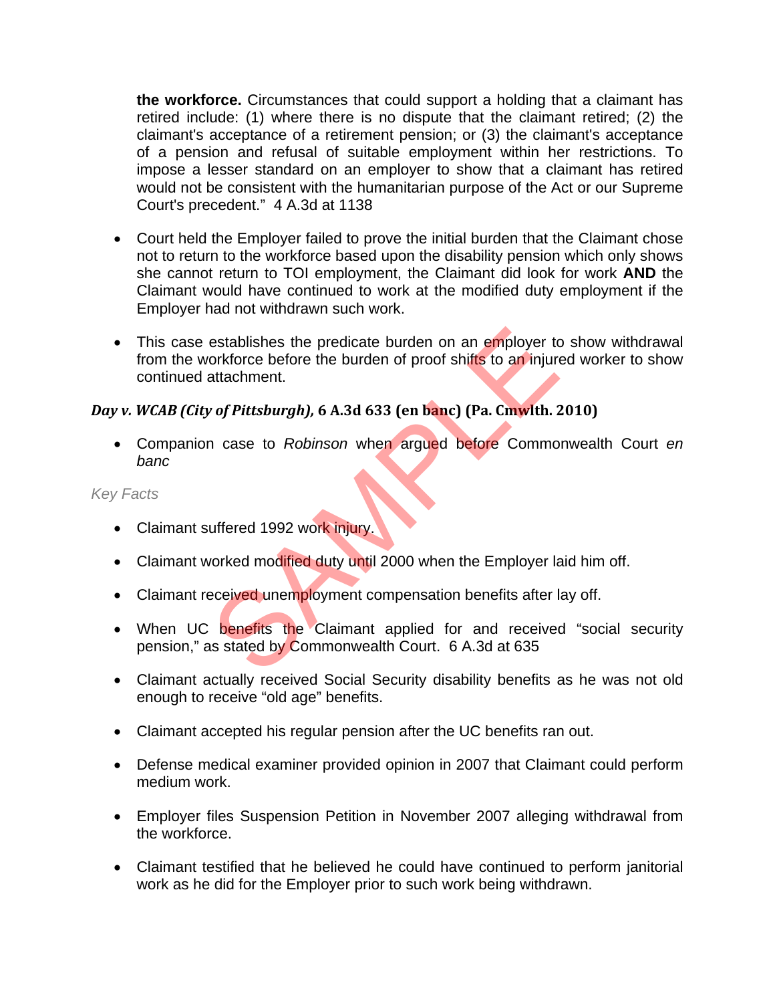**the workforce.** Circumstances that could support a holding that a claimant has retired include: (1) where there is no dispute that the claimant retired; (2) the claimant's acceptance of a retirement pension; or (3) the claimant's acceptance of a pension and refusal of suitable employment within her restrictions. To impose a lesser standard on an employer to show that a claimant has retired would not be consistent with the humanitarian purpose of the Act or our Supreme Court's precedent." 4 A.3d at 1138

- Court held the Employer failed to prove the initial burden that the Claimant chose not to return to the workforce based upon the disability pension which only shows she cannot return to TOI employment, the Claimant did look for work **AND** the Claimant would have continued to work at the modified duty employment if the Employer had not withdrawn such work.
- This case establishes the predicate burden on an employer to show withdrawal from the workforce before the burden of proof shifts to an injured worker to show continued attachment. establishes the predicate burden on an employer torkforce before the burden of proof shifts to an injure<br>attachment.<br>The principal problem of proof shifts to an injure<br>attachment.<br>The case to Robinson when argued before Co

### *Day v. WCAB (City of Pittsburgh),* **6 A.3d 633 (en banc) (Pa. Cmwlth. 2010)**

 Companion case to *Robinson* when argued before Commonwealth Court *en banc*

- Claimant suffered 1992 work injury.
- Claimant worked modified duty until 2000 when the Employer laid him off.
- Claimant received unemployment compensation benefits after lay off.
- When UC benefits the Claimant applied for and received "social security pension," as stated by Commonwealth Court. 6 A.3d at 635
- Claimant actually received Social Security disability benefits as he was not old enough to receive "old age" benefits.
- Claimant accepted his regular pension after the UC benefits ran out.
- Defense medical examiner provided opinion in 2007 that Claimant could perform medium work.
- Employer files Suspension Petition in November 2007 alleging withdrawal from the workforce.
- Claimant testified that he believed he could have continued to perform janitorial work as he did for the Employer prior to such work being withdrawn.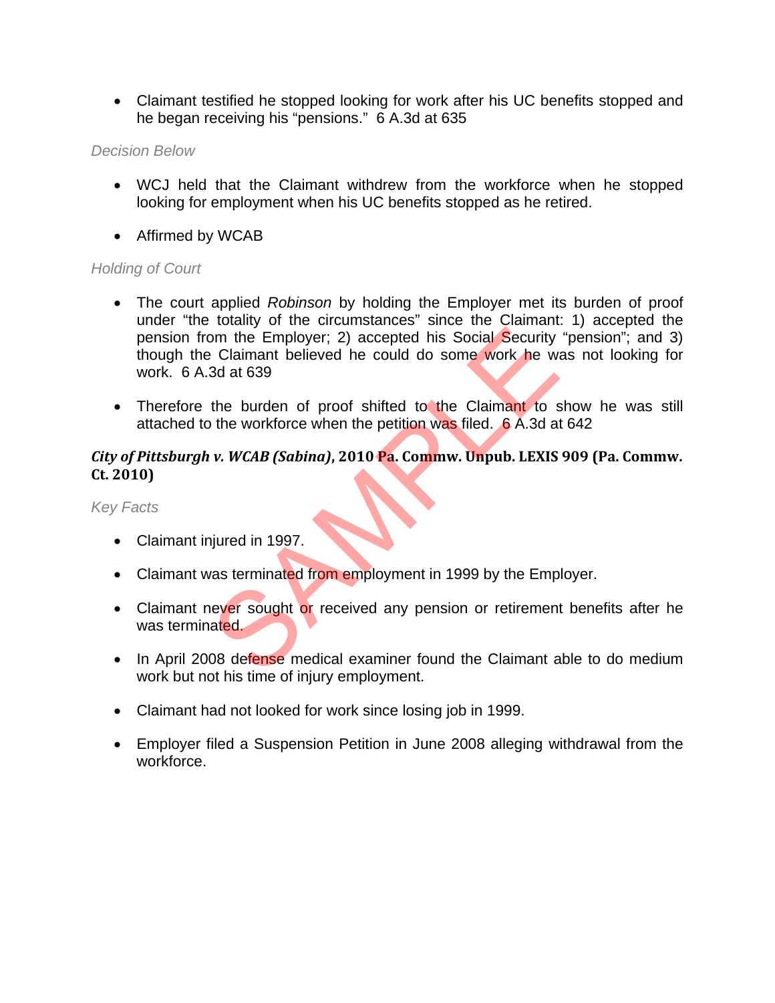Claimant testified he stopped looking for work after his UC benefits stopped and he began receiving his "pensions." 6 A.3d at 635

#### *Decision Below*

- WCJ held that the Claimant withdrew from the workforce when he stopped looking for employment when his UC benefits stopped as he retired.
- Affirmed by WCAB

### *Holding of Court*

- The court applied *Robinson* by holding the Employer met its burden of proof under "the totality of the circumstances" since the Claimant: 1) accepted the pension from the Employer; 2) accepted his Social Security "pension"; and 3) though the Claimant believed he could do some work he was not looking for work. 6 A.3d at 639 on the Employer; 2) accepted his Social Security<br>
2) claimant believed he could do some work he was<br>
3d at 639<br>
the burden of proof shifted to the Claimant to s<br>
3d at 639<br>
the workforce when the petition was filed. 6 A.3d
- Therefore the burden of proof shifted to the Claimant to show he was still attached to the workforce when the petition was filed. 6 A.3d at 642

## *City of Pittsburgh v. WCAB (Sabina)***, 2010 Pa. Commw. Unpub. LEXIS 909 (Pa. Commw. Ct. 2010)**

- Claimant injured in 1997.
- Claimant was terminated from employment in 1999 by the Employer.
- Claimant never sought or received any pension or retirement benefits after he was terminated.
- In April 2008 defense medical examiner found the Claimant able to do medium work but not his time of injury employment.
- Claimant had not looked for work since losing job in 1999.
- Employer filed a Suspension Petition in June 2008 alleging withdrawal from the workforce.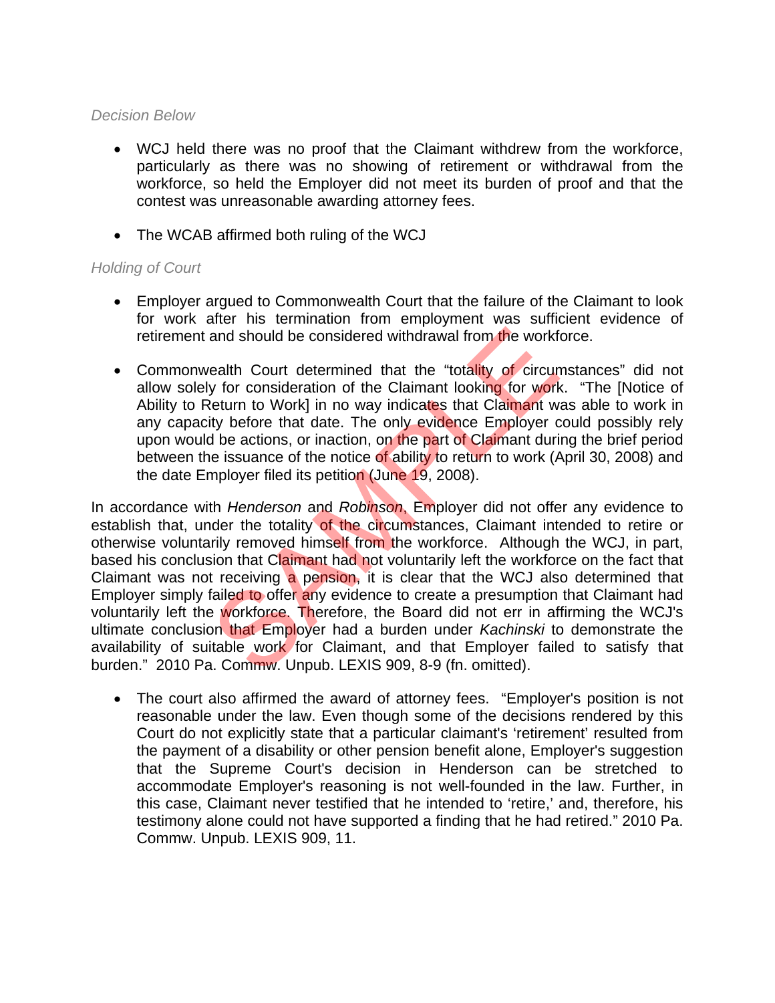#### *Decision Below*

- WCJ held there was no proof that the Claimant withdrew from the workforce, particularly as there was no showing of retirement or withdrawal from the workforce, so held the Employer did not meet its burden of proof and that the contest was unreasonable awarding attorney fees.
- The WCAB affirmed both ruling of the WCJ

### *Holding of Court*

- Employer argued to Commonwealth Court that the failure of the Claimant to look for work after his termination from employment was sufficient evidence of retirement and should be considered withdrawal from the workforce.
- Commonwealth Court determined that the "totality of circumstances" did not allow solely for consideration of the Claimant looking for work. "The [Notice of Ability to Return to Work] in no way indicates that Claimant was able to work in any capacity before that date. The only evidence Employer could possibly rely upon would be actions, or inaction, on the part of Claimant during the brief period between the issuance of the notice of ability to return to work (April 30, 2008) and the date Employer filed its petition (June 19, 2008).

In accordance with *Henderson* and *Robinson*, Employer did not offer any evidence to establish that, under the totality of the circumstances. Claimant intended to retire or otherwise voluntarily removed himself from the workforce. Although the WCJ, in part, based his conclusion that Claimant had not voluntarily left the workforce on the fact that Claimant was not receiving a pension, it is clear that the WCJ also determined that Employer simply failed to offer any evidence to create a presumption that Claimant had voluntarily left the workforce. Therefore, the Board did not err in affirming the WCJ's ultimate conclusion that Employer had a burden under *Kachinski* to demonstrate the availability of suitable work for Claimant, and that Employer failed to satisfy that burden." 2010 Pa. Commw. Unpub. LEXIS 909, 8-9 (fn. omitted). and should be considered withdrawal from the workfive ealth Court determined that the "totality of circum y for consideration of the Claimant looking for work<br>teturn to Work] in no way indicates that Claimant wity before t

 The court also affirmed the award of attorney fees. "Employer's position is not reasonable under the law. Even though some of the decisions rendered by this Court do not explicitly state that a particular claimant's 'retirement' resulted from the payment of a disability or other pension benefit alone, Employer's suggestion that the Supreme Court's decision in Henderson can be stretched to accommodate Employer's reasoning is not well-founded in the law. Further, in this case, Claimant never testified that he intended to 'retire,' and, therefore, his testimony alone could not have supported a finding that he had retired." 2010 Pa. Commw. Unpub. LEXIS 909, 11.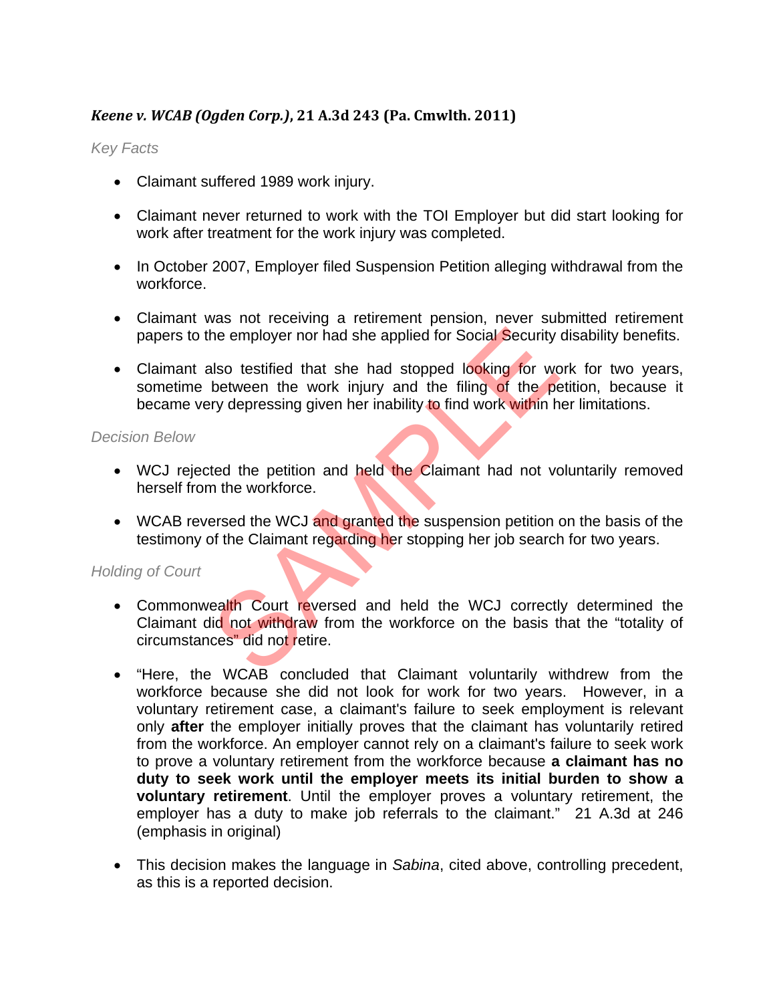# *Keene v. WCAB (Ogden Corp.)***, 21 A.3d 243 (Pa. Cmwlth. 2011)**

### *Key Facts*

- Claimant suffered 1989 work injury.
- Claimant never returned to work with the TOI Employer but did start looking for work after treatment for the work injury was completed.
- In October 2007, Employer filed Suspension Petition alleging withdrawal from the workforce.
- Claimant was not receiving a retirement pension, never submitted retirement papers to the employer nor had she applied for Social Security disability benefits.
- Claimant also testified that she had stopped looking for work for two years, sometime between the work injury and the filing of the petition, because it became very depressing given her inability to find work within her limitations.

#### *Decision Below*

- WCJ rejected the petition and held the Claimant had not voluntarily removed herself from the workforce.
- WCAB reversed the WCJ and granted the suspension petition on the basis of the testimony of the Claimant regarding her stopping her job search for two years.

- Commonwealth Court reversed and held the WCJ correctly determined the Claimant did not withdraw from the workforce on the basis that the "totality of circumstances" did not retire. The employer nor had she applied for Social Security<br>Also testified that she had stopped looking for work<br>between the work injury and the filing of the perty<br>depressing given her inability to find work within h<br>ted the pet
- "Here, the WCAB concluded that Claimant voluntarily withdrew from the workforce because she did not look for work for two years. However, in a voluntary retirement case, a claimant's failure to seek employment is relevant only **after** the employer initially proves that the claimant has voluntarily retired from the workforce. An employer cannot rely on a claimant's failure to seek work to prove a voluntary retirement from the workforce because **a claimant has no duty to seek work until the employer meets its initial burden to show a voluntary retirement**. Until the employer proves a voluntary retirement, the employer has a duty to make job referrals to the claimant." 21 A.3d at 246 (emphasis in original)
- This decision makes the language in *Sabina*, cited above, controlling precedent, as this is a reported decision.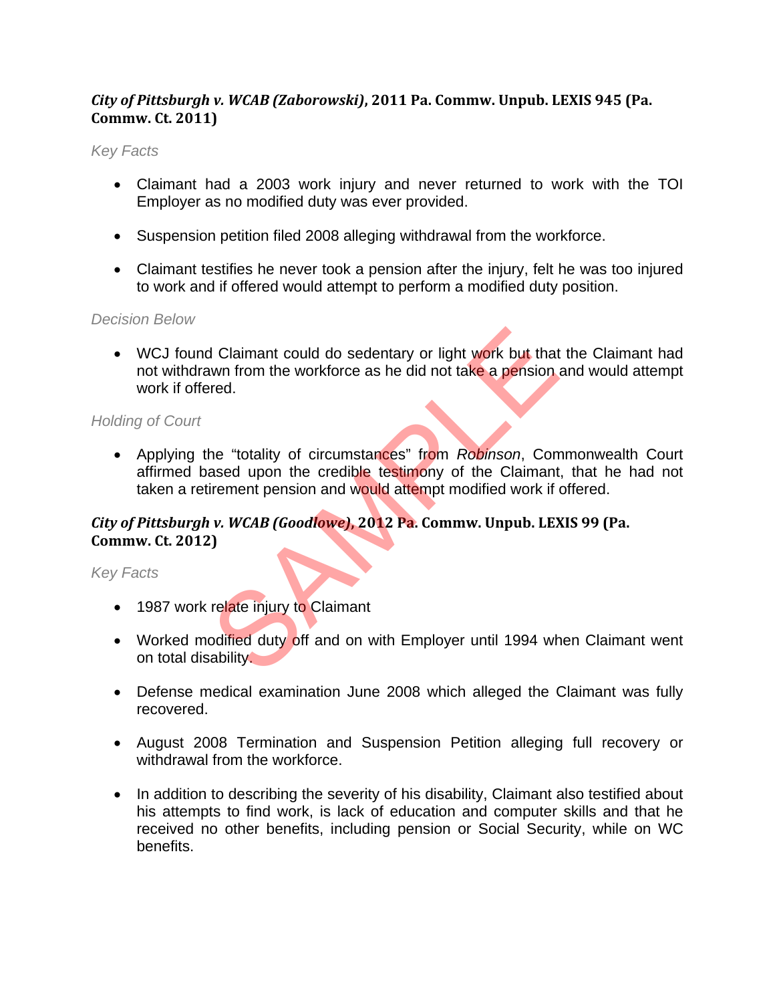# *City of Pittsburgh v. WCAB (Zaborowski)***, 2011 Pa. Commw. Unpub. LEXIS 945 (Pa. Commw. Ct. 2011)**

#### *Key Facts*

- Claimant had a 2003 work injury and never returned to work with the TOI Employer as no modified duty was ever provided.
- Suspension petition filed 2008 alleging withdrawal from the workforce.
- Claimant testifies he never took a pension after the injury, felt he was too injured to work and if offered would attempt to perform a modified duty position.

### *Decision Below*

• WCJ found Claimant could do sedentary or light work but that the Claimant had not withdrawn from the workforce as he did not take a pension and would attempt work if offered.

### *Holding of Court*

 Applying the "totality of circumstances" from *Robinson*, Commonwealth Court affirmed based upon the credible testimony of the Claimant, that he had not taken a retirement pension and would attempt modified work if offered. I Claimant could do sedentary or light work but that<br>wn from the workforce as he did not take a pension ared.<br>The "totality of circumstances" from Robinson, Com<br>ased upon the credible testimony of the Claimant<br>irement pens

# *City of Pittsburgh v. WCAB (Goodlowe)***, 2012 Pa. Commw. Unpub. LEXIS 99 (Pa. Commw. Ct. 2012)**

- 1987 work relate injury to Claimant
- Worked modified duty off and on with Employer until 1994 when Claimant went on total disability.
- Defense medical examination June 2008 which alleged the Claimant was fully recovered.
- August 2008 Termination and Suspension Petition alleging full recovery or withdrawal from the workforce.
- In addition to describing the severity of his disability, Claimant also testified about his attempts to find work, is lack of education and computer skills and that he received no other benefits, including pension or Social Security, while on WC benefits.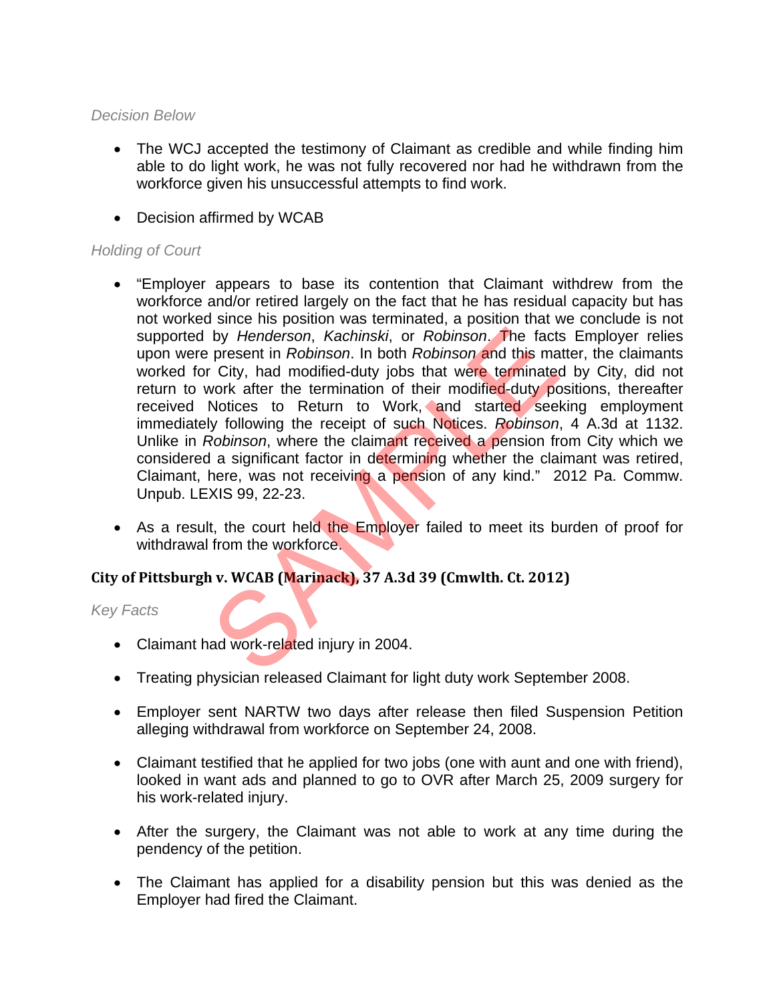#### *Decision Below*

- The WCJ accepted the testimony of Claimant as credible and while finding him able to do light work, he was not fully recovered nor had he withdrawn from the workforce given his unsuccessful attempts to find work.
- Decision affirmed by WCAB

### *Holding of Court*

- "Employer appears to base its contention that Claimant withdrew from the workforce and/or retired largely on the fact that he has residual capacity but has not worked since his position was terminated, a position that we conclude is not supported by *Henderson*, *Kachinski*, or *Robinson*. The facts Employer relies upon were present in *Robinson*. In both *Robinson* and this matter, the claimants worked for City, had modified-duty jobs that were terminated by City, did not return to work after the termination of their modified-duty positions, thereafter received Notices to Return to Work, and started seeking employment immediately following the receipt of such Notices. *Robinson*, 4 A.3d at 1132. Unlike in *Robinson*, where the claimant received a pension from City which we considered a significant factor in determining whether the claimant was retired, Claimant, here, was not receiving a pension of any kind." 2012 Pa. Commw. Unpub. LEXIS 99, 22-23. by *Henderson, Kachinski*, or *Robinson*. The factionseries in *Robinson*. In both *Robinson* and this may city, had modified-duty jobs that were terminated vork after the termination of their modified-duty politices to Re
- As a result, the court held the Employer failed to meet its burden of proof for withdrawal from the workforce.

# **City of Pittsburgh v. WCAB (Marinack), 37 A.3d 39 (Cmwlth. Ct. 2012)**

- Claimant had work-related injury in 2004.
- Treating physician released Claimant for light duty work September 2008.
- Employer sent NARTW two days after release then filed Suspension Petition alleging withdrawal from workforce on September 24, 2008.
- Claimant testified that he applied for two jobs (one with aunt and one with friend), looked in want ads and planned to go to OVR after March 25, 2009 surgery for his work-related injury.
- After the surgery, the Claimant was not able to work at any time during the pendency of the petition.
- The Claimant has applied for a disability pension but this was denied as the Employer had fired the Claimant.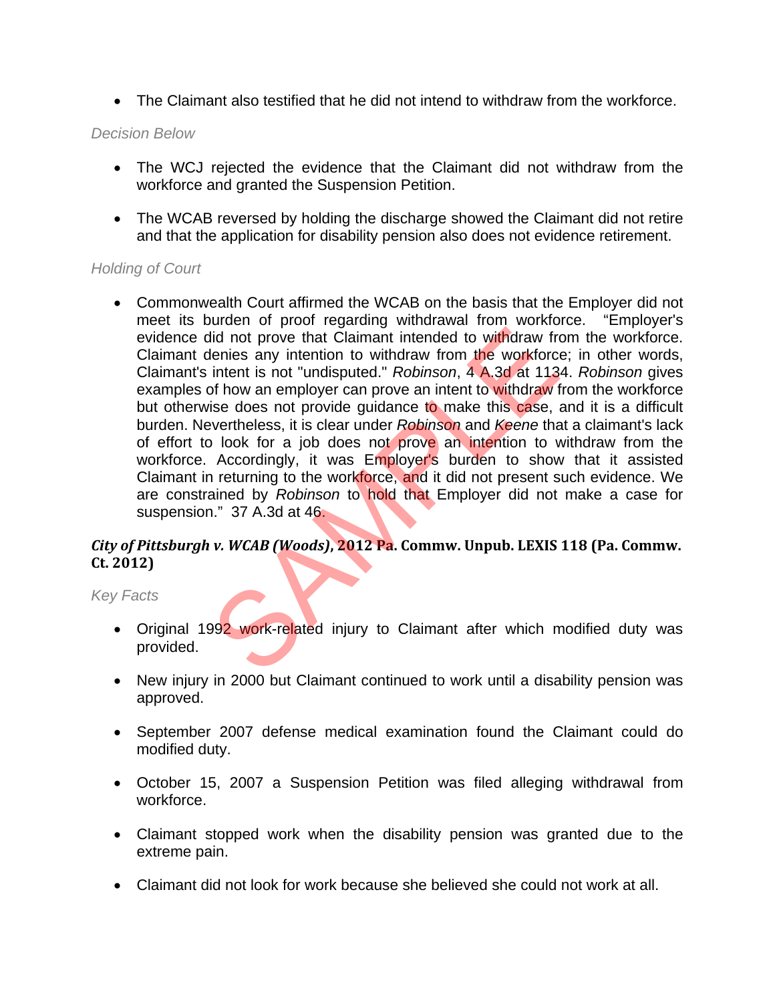The Claimant also testified that he did not intend to withdraw from the workforce.

#### *Decision Below*

- The WCJ rejected the evidence that the Claimant did not withdraw from the workforce and granted the Suspension Petition.
- The WCAB reversed by holding the discharge showed the Claimant did not retire and that the application for disability pension also does not evidence retirement.

### *Holding of Court*

 Commonwealth Court affirmed the WCAB on the basis that the Employer did not meet its burden of proof regarding withdrawal from workforce. "Employer's evidence did not prove that Claimant intended to withdraw from the workforce. Claimant denies any intention to withdraw from the workforce; in other words, Claimant's intent is not "undisputed." *Robinson*, 4 A.3d at 1134. *Robinson* gives examples of how an employer can prove an intent to withdraw from the workforce but otherwise does not provide quidance to make this case, and it is a difficult burden. Nevertheless, it is clear under *Robinson* and *Keene* that a claimant's lack of effort to look for a job does not prove an intention to withdraw from the workforce. Accordingly, it was Employer's burden to show that it assisted Claimant in returning to the workforce, and it did not present such evidence. We are constrained by *Robinson* to hold that Employer did not make a case for suspension." 37 A.3d at 46. id not prove that Claimant intended to withdraw freming and identify the same intended to withdraw freming any intention to withdraw from the workforce intent is not "undisputed." *Robinson*, 4 A.3d at 113 of how an employ

# *City of Pittsburgh v. WCAB (Woods)***, 2012 Pa. Commw. Unpub. LEXIS 118 (Pa. Commw. Ct. 2012)**

- Original 1992 work-related injury to Claimant after which modified duty was provided.
- New injury in 2000 but Claimant continued to work until a disability pension was approved.
- September 2007 defense medical examination found the Claimant could do modified duty.
- October 15, 2007 a Suspension Petition was filed alleging withdrawal from workforce.
- Claimant stopped work when the disability pension was granted due to the extreme pain.
- Claimant did not look for work because she believed she could not work at all.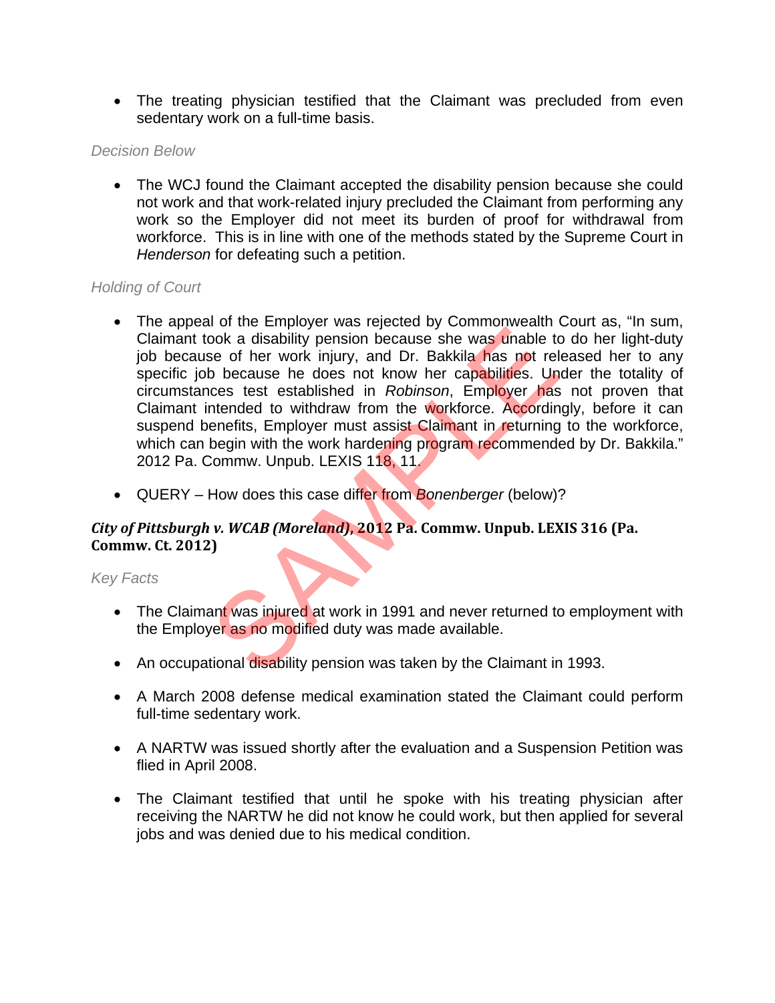The treating physician testified that the Claimant was precluded from even sedentary work on a full-time basis.

#### *Decision Below*

 The WCJ found the Claimant accepted the disability pension because she could not work and that work-related injury precluded the Claimant from performing any work so the Employer did not meet its burden of proof for withdrawal from workforce. This is in line with one of the methods stated by the Supreme Court in *Henderson* for defeating such a petition.

# *Holding of Court*

- The appeal of the Employer was rejected by Commonwealth Court as, "In sum, Claimant took a disability pension because she was unable to do her light-duty job because of her work injury, and Dr. Bakkila has not released her to any specific job because he does not know her capabilities. Under the totality of circumstances test established in *Robinson*, Employer has not proven that Claimant intended to withdraw from the workforce. Accordingly, before it can suspend benefits, Employer must assist Claimant in returning to the workforce, which can begin with the work hardening program recommended by Dr. Bakkila." 2012 Pa. Commw. Unpub. LEXIS 118, 11. From the disability pension because she was unable to<br>sook a disability pension because she was unable to<br>see of her work injury, and Dr. Bakkila has not rel<br>b because he does not know her capabilities. Un<br>ces test establi
- QUERY How does this case differ from *Bonenberger* (below)?

# *City of Pittsburgh v. WCAB (Moreland)***, 2012 Pa. Commw. Unpub. LEXIS 316 (Pa. Commw. Ct. 2012)**

- The Claimant was injured at work in 1991 and never returned to employment with the Employer as no modified duty was made available.
- An occupational disability pension was taken by the Claimant in 1993.
- A March 2008 defense medical examination stated the Claimant could perform full-time sedentary work.
- A NARTW was issued shortly after the evaluation and a Suspension Petition was flied in April 2008.
- The Claimant testified that until he spoke with his treating physician after receiving the NARTW he did not know he could work, but then applied for several jobs and was denied due to his medical condition.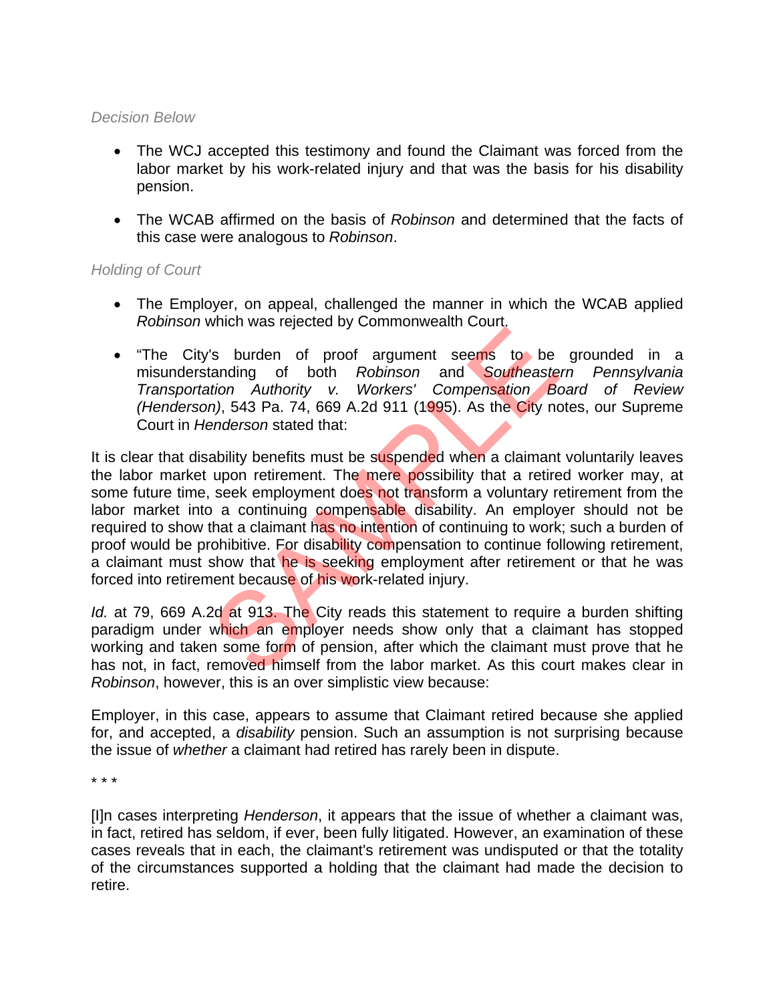#### *Decision Below*

- The WCJ accepted this testimony and found the Claimant was forced from the labor market by his work-related injury and that was the basis for his disability pension.
- The WCAB affirmed on the basis of *Robinson* and determined that the facts of this case were analogous to *Robinson*.

### *Holding of Court*

- The Employer, on appeal, challenged the manner in which the WCAB applied *Robinson* which was rejected by Commonwealth Court.
- "The City's burden of proof argument seems to be grounded in a misunderstanding of both *Robinson* and *Southeastern Pennsylvania Transportation Authority v. Workers' Compensation Board of Review (Henderson)*, 543 Pa. 74, 669 A.2d 911 (1995). As the City notes, our Supreme Court in *Henderson* stated that:

It is clear that disability benefits must be suspended when a claimant voluntarily leaves the labor market upon retirement. The mere possibility that a retired worker may, at some future time, seek employment does not transform a voluntary retirement from the labor market into a continuing compensable disability. An employer should not be required to show that a claimant has no intention of continuing to work; such a burden of proof would be prohibitive. For disability compensation to continue following retirement, a claimant must show that he is seeking employment after retirement or that he was forced into retirement because of his work-related injury. Is burden of proof argument seems to be tanding of both Robinson and Southeaste<br>tion Authority v. Workers' Compensation Below and Southeaste<br>tion Authority v. Workers' Compensation Below<br>anderson stated that:<br>ability benef

*Id.* at 79, 669 A.2d at 913. The City reads this statement to require a burden shifting paradigm under which an employer needs show only that a claimant has stopped working and taken some form of pension, after which the claimant must prove that he has not, in fact, removed himself from the labor market. As this court makes clear in *Robinson*, however, this is an over simplistic view because:

Employer, in this case, appears to assume that Claimant retired because she applied for, and accepted, a *disability* pension. Such an assumption is not surprising because the issue of *whether* a claimant had retired has rarely been in dispute.

\* \* \*

[I]n cases interpreting *Henderson*, it appears that the issue of whether a claimant was, in fact, retired has seldom, if ever, been fully litigated. However, an examination of these cases reveals that in each, the claimant's retirement was undisputed or that the totality of the circumstances supported a holding that the claimant had made the decision to retire.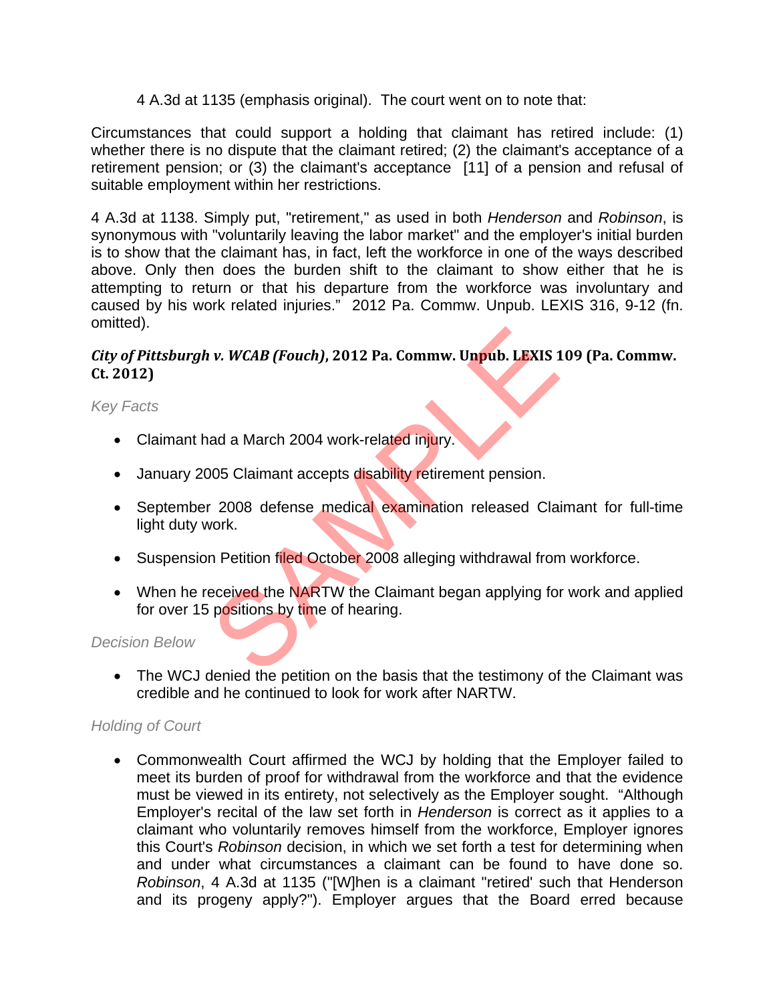4 A.3d at 1135 (emphasis original). The court went on to note that:

Circumstances that could support a holding that claimant has retired include: (1) whether there is no dispute that the claimant retired; (2) the claimant's acceptance of a retirement pension; or (3) the claimant's acceptance [11] of a pension and refusal of suitable employment within her restrictions.

4 A.3d at 1138. Simply put, "retirement," as used in both *Henderson* and *Robinson*, is synonymous with "voluntarily leaving the labor market" and the employer's initial burden is to show that the claimant has, in fact, left the workforce in one of the ways described above. Only then does the burden shift to the claimant to show either that he is attempting to return or that his departure from the workforce was involuntary and caused by his work related injuries." 2012 Pa. Commw. Unpub. LEXIS 316, 9-12 (fn. omitted).

### *City of Pittsburgh v. WCAB (Fouch)***, 2012 Pa. Commw. Unpub. LEXIS 109 (Pa. Commw. Ct. 2012)**

*Key Facts* 

- Claimant had a March 2004 work-related injury.
- January 2005 Claimant accepts disability retirement pension.
- September 2008 defense medical examination released Claimant for full-time light duty work.
- Suspension Petition filed October 2008 alleging withdrawal from workforce.
- When he received the NARTW the Claimant began applying for work and applied for over 15 positions by time of hearing. v. WCAB (Fouch), 2012 Pa. Commw. Unpub. LEXIS 1<br>ad a March 2004 work-related injury.<br>05 Claimant accepts disability retirement pension.<br>2008 defense medical examination released Cla<br>vork.<br>In Petition filed October 2008 all

#### *Decision Below*

 The WCJ denied the petition on the basis that the testimony of the Claimant was credible and he continued to look for work after NARTW.

# *Holding of Court*

 Commonwealth Court affirmed the WCJ by holding that the Employer failed to meet its burden of proof for withdrawal from the workforce and that the evidence must be viewed in its entirety, not selectively as the Employer sought. "Although Employer's recital of the law set forth in *Henderson* is correct as it applies to a claimant who voluntarily removes himself from the workforce, Employer ignores this Court's *Robinson* decision, in which we set forth a test for determining when and under what circumstances a claimant can be found to have done so. *Robinson*, 4 A.3d at 1135 ("[W]hen is a claimant "retired' such that Henderson and its progeny apply?"). Employer argues that the Board erred because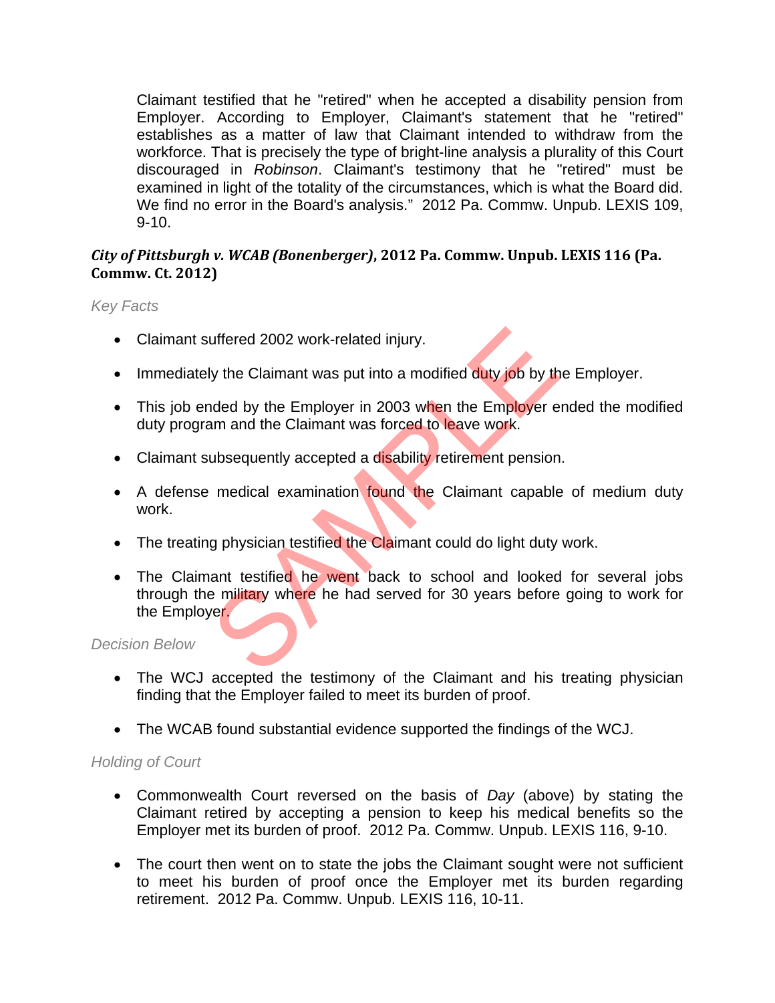Claimant testified that he "retired" when he accepted a disability pension from Employer. According to Employer, Claimant's statement that he "retired" establishes as a matter of law that Claimant intended to withdraw from the workforce. That is precisely the type of bright-line analysis a plurality of this Court discouraged in *Robinson*. Claimant's testimony that he "retired" must be examined in light of the totality of the circumstances, which is what the Board did. We find no error in the Board's analysis." 2012 Pa. Commw. Unpub. LEXIS 109, 9-10.

### *City of Pittsburgh v. WCAB (Bonenberger)***, 2012 Pa. Commw. Unpub. LEXIS 116 (Pa. Commw. Ct. 2012)**

*Key Facts* 

- Claimant suffered 2002 work-related injury.
- Immediately the Claimant was put into a modified duty job by the Employer.
- This job ended by the Employer in 2003 when the Employer ended the modified duty program and the Claimant was forced to leave work.
- Claimant subsequently accepted a disability retirement pension.
- A defense medical examination found the Claimant capable of medium duty work.
- The treating physician testified the Claimant could do light duty work.
- The Claimant testified he went back to school and looked for several jobs through the military where he had served for 30 years before going to work for the Employer. uffered 2002 work-related injury.<br>
Vy the Claimant was put into a modified duty job by the<br>
Inded by the Employer in 2003 when the Employer e<br>
am and the Claimant was forced to leave work.<br>
Ubsequently accepted a disabilit

*Decision Below* 

- The WCJ accepted the testimony of the Claimant and his treating physician finding that the Employer failed to meet its burden of proof.
- The WCAB found substantial evidence supported the findings of the WCJ.

- Commonwealth Court reversed on the basis of *Day* (above) by stating the Claimant retired by accepting a pension to keep his medical benefits so the Employer met its burden of proof. 2012 Pa. Commw. Unpub. LEXIS 116, 9-10.
- The court then went on to state the jobs the Claimant sought were not sufficient to meet his burden of proof once the Employer met its burden regarding retirement. 2012 Pa. Commw. Unpub. LEXIS 116, 10-11.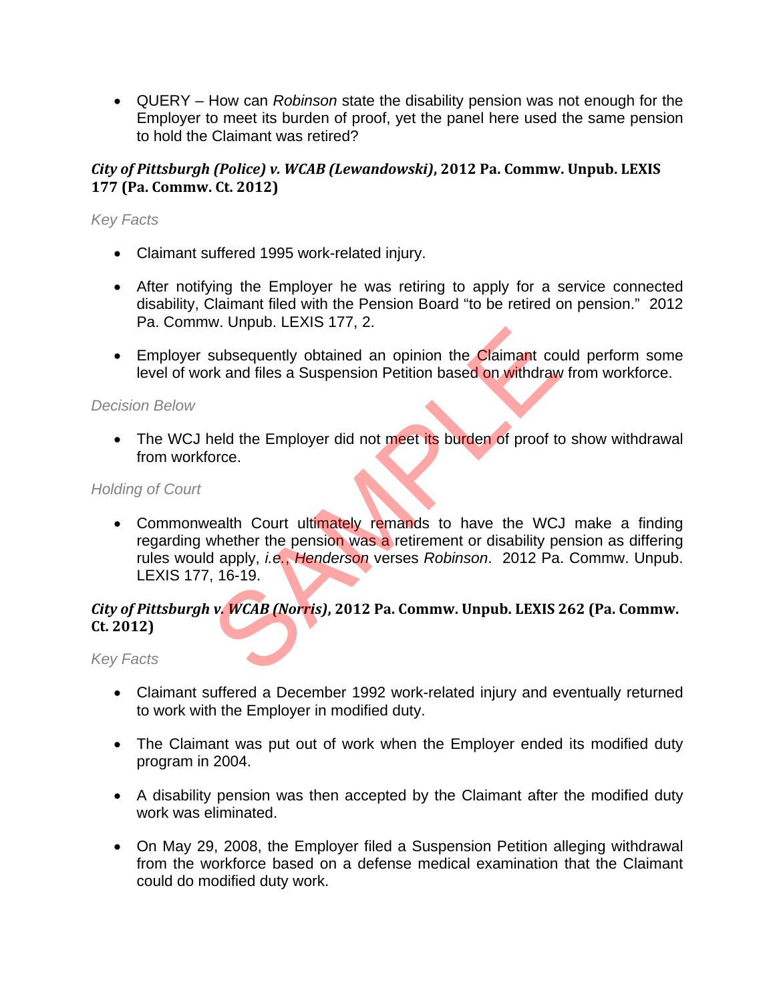QUERY – How can *Robinson* state the disability pension was not enough for the Employer to meet its burden of proof, yet the panel here used the same pension to hold the Claimant was retired?

# *City of Pittsburgh (Police) v. WCAB (Lewandowski)***, 2012 Pa. Commw. Unpub. LEXIS 177 (Pa. Commw. Ct. 2012)**

#### *Key Facts*

- Claimant suffered 1995 work-related injury.
- After notifying the Employer he was retiring to apply for a service connected disability, Claimant filed with the Pension Board "to be retired on pension." 2012 Pa. Commw. Unpub. LEXIS 177, 2.
- Employer subsequently obtained an opinion the Claimant could perform some level of work and files a Suspension Petition based on withdraw from workforce.

#### *Decision Below*

• The WCJ held the Employer did not meet its burden of proof to show withdrawal from workforce.

#### *Holding of Court*

• Commonwealth Court ultimately remands to have the WCJ make a finding regarding whether the pension was a retirement or disability pension as differing rules would apply, *i.e.*, *Henderson* verses *Robinson*. 2012 Pa. Commw. Unpub. LEXIS 177, 16-19. Subsequently obtained an opinion the Claimant cork and files a Suspension Petition based on withdraw<br>
and files a Suspension Petition based on withdraw<br>
and the Employer did not meet its burden of proof to<br>
orce.<br>
ealth Co

### *City of Pittsburgh v. WCAB (Norris)***, 2012 Pa. Commw. Unpub. LEXIS 262 (Pa. Commw. Ct. 2012)**

- Claimant suffered a December 1992 work-related injury and eventually returned to work with the Employer in modified duty.
- The Claimant was put out of work when the Employer ended its modified duty program in 2004.
- A disability pension was then accepted by the Claimant after the modified duty work was eliminated.
- On May 29, 2008, the Employer filed a Suspension Petition alleging withdrawal from the workforce based on a defense medical examination that the Claimant could do modified duty work.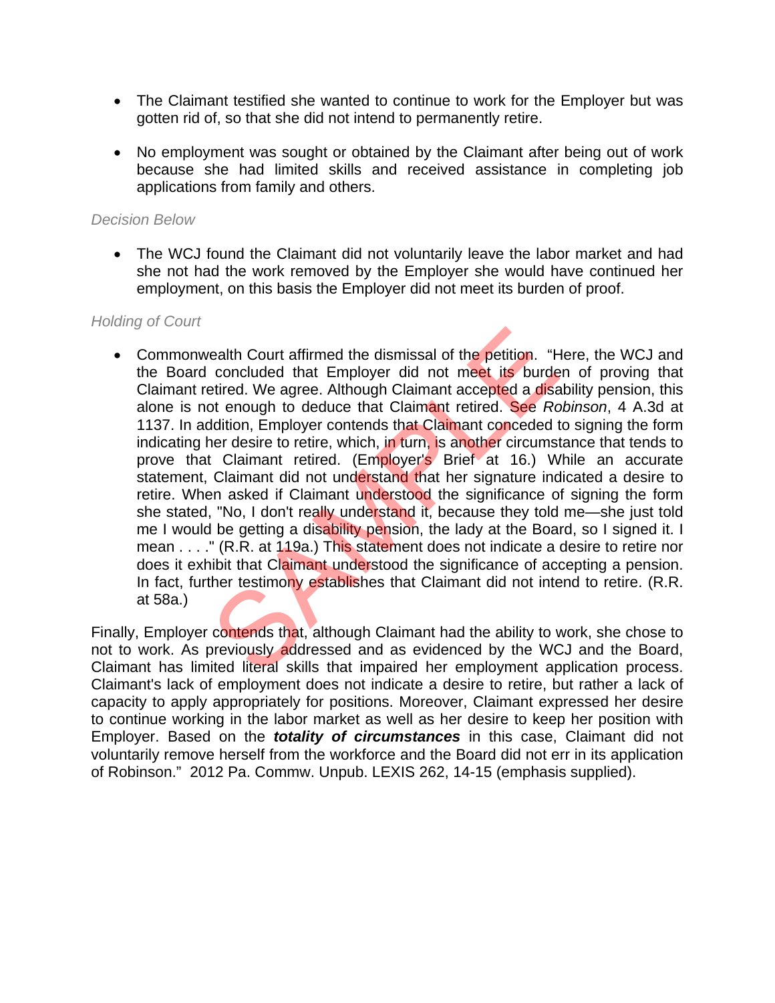- The Claimant testified she wanted to continue to work for the Employer but was gotten rid of, so that she did not intend to permanently retire.
- No employment was sought or obtained by the Claimant after being out of work because she had limited skills and received assistance in completing job applications from family and others.

#### *Decision Below*

 The WCJ found the Claimant did not voluntarily leave the labor market and had she not had the work removed by the Employer she would have continued her employment, on this basis the Employer did not meet its burden of proof.

#### *Holding of Court*

• Commonwealth Court affirmed the dismissal of the petition. "Here, the WCJ and the Board concluded that Employer did not meet its burden of proving that Claimant retired. We agree. Although Claimant accepted a disability pension, this alone is not enough to deduce that Claimant retired. See *Robinson*, 4 A.3d at 1137. In addition, Employer contends that Claimant conceded to signing the form indicating her desire to retire, which, in turn, is another circumstance that tends to prove that Claimant retired. (Employer's Brief at 16.) While an accurate statement, Claimant did not understand that her signature indicated a desire to retire. When asked if Claimant understood the significance of signing the form she stated, "No, I don't really understand it, because they told me—she just told me I would be getting a disability pension, the lady at the Board, so I signed it. I mean . . . ." (R.R. at 119a.) This statement does not indicate a desire to retire nor does it exhibit that Claimant understood the significance of accepting a pension. In fact, further testimony establishes that Claimant did not intend to retire. (R.R. at 58a.) ealth Court affirmed the dismissal of the petition. "He concluded that Employer did not meet its burdetired. We agree. Although Claimant accepted a disate of enough to deduce that Claimant retired. See Rc ddition, Employer

Finally, Employer contends that, although Claimant had the ability to work, she chose to not to work. As previously addressed and as evidenced by the WCJ and the Board, Claimant has limited literal skills that impaired her employment application process. Claimant's lack of employment does not indicate a desire to retire, but rather a lack of capacity to apply appropriately for positions. Moreover, Claimant expressed her desire to continue working in the labor market as well as her desire to keep her position with Employer. Based on the *totality of circumstances* in this case, Claimant did not voluntarily remove herself from the workforce and the Board did not err in its application of Robinson." 2012 Pa. Commw. Unpub. LEXIS 262, 14-15 (emphasis supplied).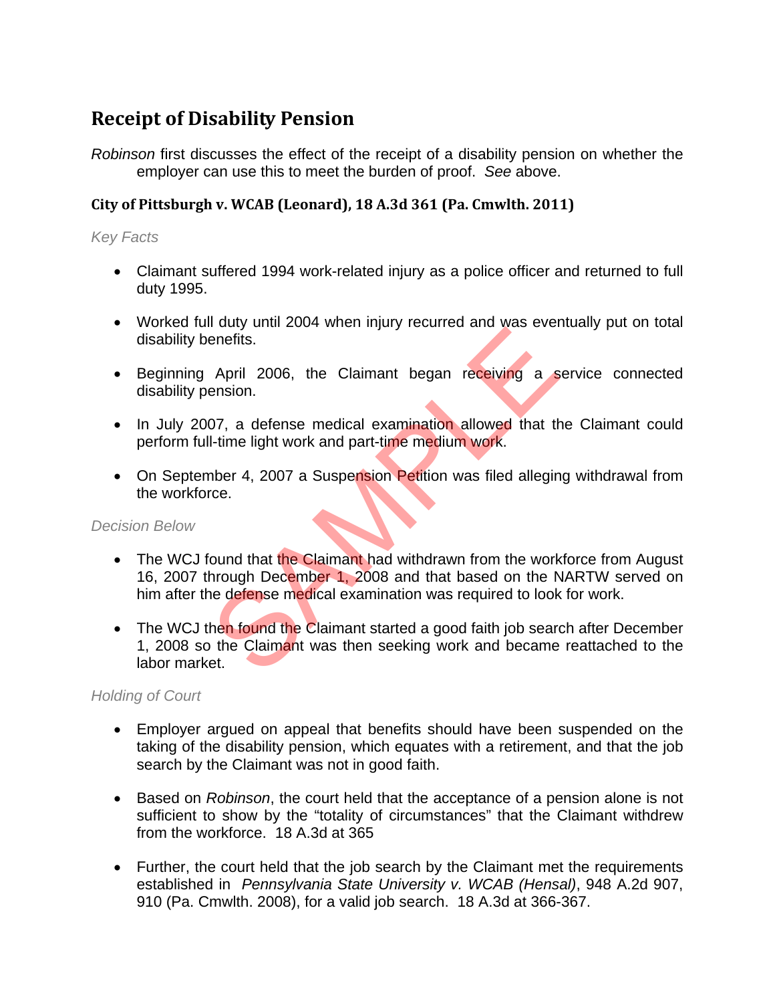# **Receipt of Disability Pension**

*Robinson* first discusses the effect of the receipt of a disability pension on whether the employer can use this to meet the burden of proof. *See* above.

### **City of Pittsburgh v. WCAB (Leonard), 18 A.3d 361 (Pa. Cmwlth. 2011)**

#### *Key Facts*

- Claimant suffered 1994 work-related injury as a police officer and returned to full duty 1995.
- Worked full duty until 2004 when injury recurred and was eventually put on total disability benefits.
- Beginning April 2006, the Claimant began receiving a service connected disability pension.
- In July 2007, a defense medical examination allowed that the Claimant could perform full-time light work and part-time medium work.
- On September 4, 2007 a Suspension Petition was filed alleging withdrawal from the workforce.

#### *Decision Below*

- The WCJ found that the Claimant had withdrawn from the workforce from August 16, 2007 through December 1, 2008 and that based on the NARTW served on him after the defense medical examination was required to look for work. The Taury and 2006, the Claimant began receiving a sension.<br>
Or, a defense medical examination allowed that the<br>
I-time light work and part-time medium work.<br>
The Hight work and part-time medium work.<br>
The Hight work and p
- The WCJ then found the Claimant started a good faith job search after December 1, 2008 so the Claimant was then seeking work and became reattached to the labor market.

- Employer argued on appeal that benefits should have been suspended on the taking of the disability pension, which equates with a retirement, and that the job search by the Claimant was not in good faith.
- Based on *Robinson*, the court held that the acceptance of a pension alone is not sufficient to show by the "totality of circumstances" that the Claimant withdrew from the workforce. 18 A.3d at 365
- Further, the court held that the job search by the Claimant met the requirements established in *Pennsylvania State University v. WCAB (Hensal)*, 948 A.2d 907, 910 (Pa. Cmwlth. 2008), for a valid job search. 18 A.3d at 366-367.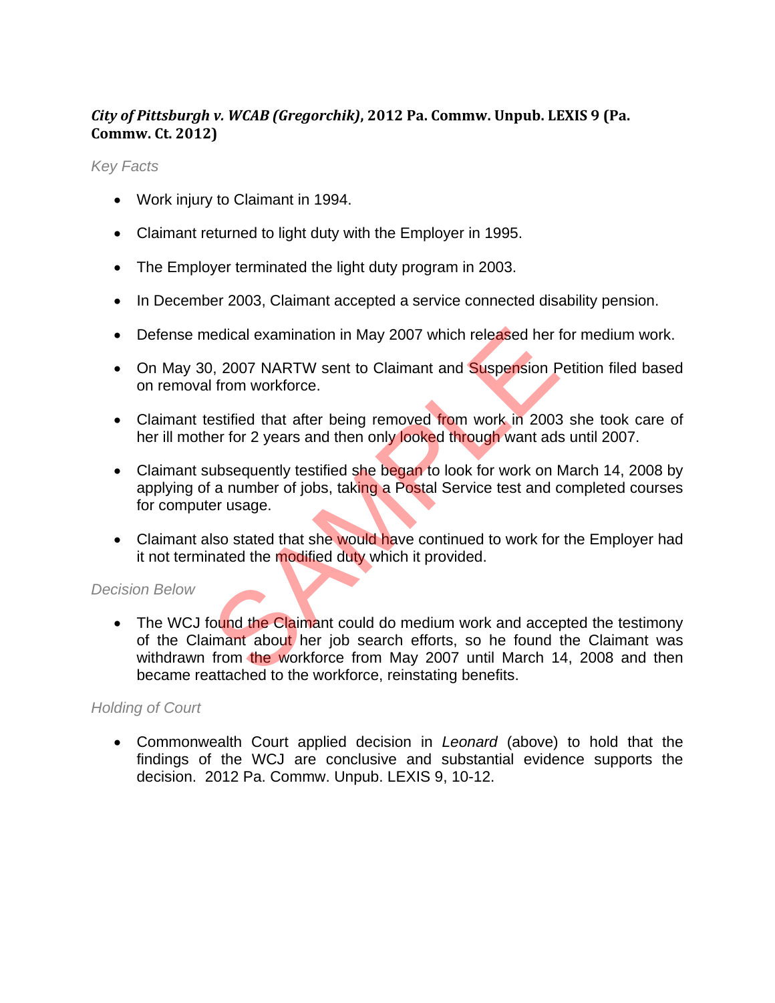# *City of Pittsburgh v. WCAB (Gregorchik)***, 2012 Pa. Commw. Unpub. LEXIS 9 (Pa. Commw. Ct. 2012)**

*Key Facts* 

- Work injury to Claimant in 1994.
- Claimant returned to light duty with the Employer in 1995.
- The Employer terminated the light duty program in 2003.
- In December 2003, Claimant accepted a service connected disability pension.
- Defense medical examination in May 2007 which released her for medium work.
- On May 30, 2007 NARTW sent to Claimant and Suspension Petition filed based on removal from workforce.
- Claimant testified that after being removed from work in 2003 she took care of her ill mother for 2 years and then only looked through want ads until 2007.
- Claimant subsequently testified she began to look for work on March 14, 2008 by applying of a number of jobs, taking a Postal Service test and completed courses for computer usage.
- Claimant also stated that she would have continued to work for the Employer had it not terminated the modified duty which it provided.

#### *Decision Below*

• The WCJ found the Claimant could do medium work and accepted the testimony of the Claimant about her job search efforts, so he found the Claimant was withdrawn from the workforce from May 2007 until March 14, 2008 and then became reattached to the workforce, reinstating benefits. edical examination in May 2007 which released her local examination in May 2007 which released her local control of the settified that after being removed from work in 2003 are for 2 years and then only looked through want

#### *Holding of Court*

 Commonwealth Court applied decision in *Leonard* (above) to hold that the findings of the WCJ are conclusive and substantial evidence supports the decision. 2012 Pa. Commw. Unpub. LEXIS 9, 10-12.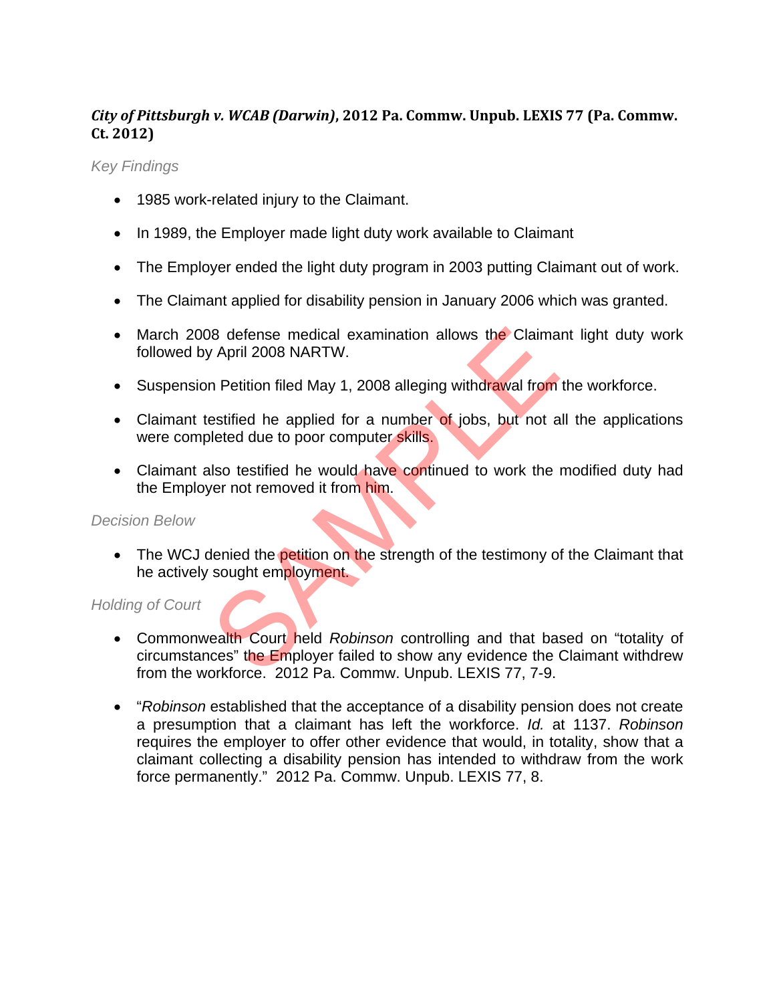# *City of Pittsburgh v. WCAB (Darwin)***, 2012 Pa. Commw. Unpub. LEXIS 77 (Pa. Commw. Ct. 2012)**

*Key Findings* 

- 1985 work-related injury to the Claimant.
- In 1989, the Employer made light duty work available to Claimant
- The Employer ended the light duty program in 2003 putting Claimant out of work.
- The Claimant applied for disability pension in January 2006 which was granted.
- March 2008 defense medical examination allows the Claimant light duty work followed by April 2008 NARTW.
- Suspension Petition filed May 1, 2008 alleging withdrawal from the workforce.
- Claimant testified he applied for a number of jobs, but not all the applications were completed due to poor computer skills.
- Claimant also testified he would have continued to work the modified duty had the Employer not removed it from him.

#### *Decision Below*

• The WCJ denied the **petition on the strength of the testimony of the Claimant that** he actively sought employment.

- Commonwealth Court held *Robinson* controlling and that based on "totality of circumstances" the Employer failed to show any evidence the Claimant withdrew from the workforce. 2012 Pa. Commw. Unpub. LEXIS 77, 7-9. Mapple States and allows the Claima<br>
State of April 2008 NARTW.<br>
April 2008 NARTW.<br>
In Petition filed May 1, 2008 alleging withdrawal from<br>
estified he applied for a number of jobs, but not a<br>
leted due to poor computer sk
- "*Robinson* established that the acceptance of a disability pension does not create a presumption that a claimant has left the workforce. *Id.* at 1137. *Robinson* requires the employer to offer other evidence that would, in totality, show that a claimant collecting a disability pension has intended to withdraw from the work force permanently." 2012 Pa. Commw. Unpub. LEXIS 77, 8.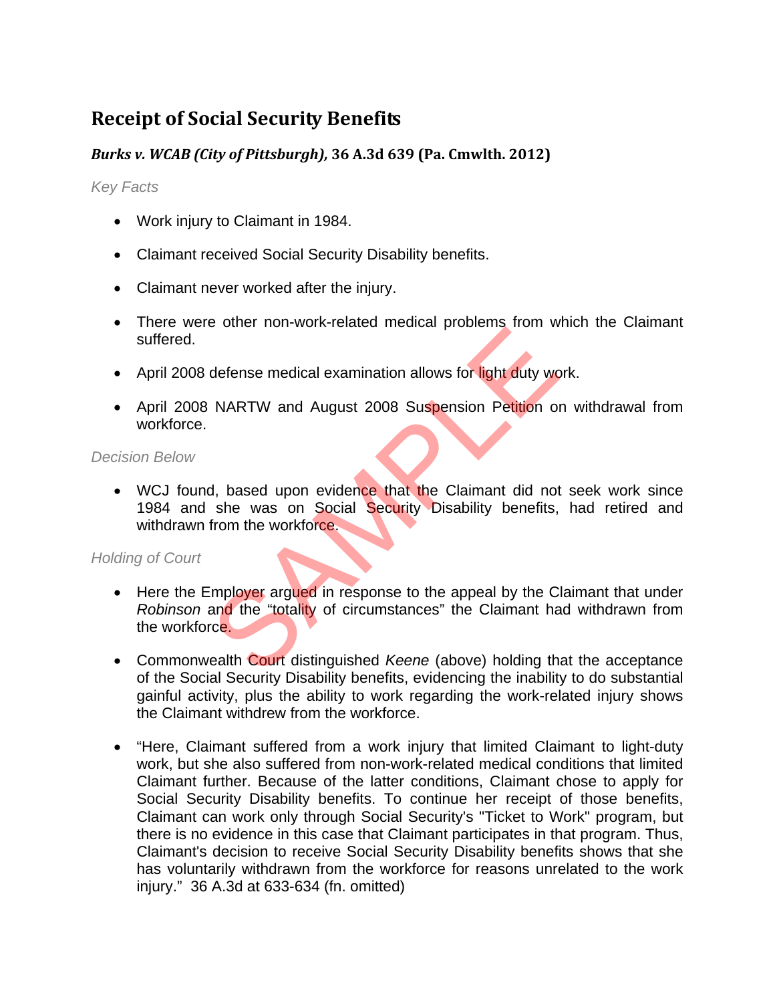# **Receipt of Social Security Benefits**

# *Burks v. WCAB (City of Pittsburgh),* **36 A.3d 639 (Pa. Cmwlth. 2012)**

*Key Facts* 

- Work injury to Claimant in 1984.
- Claimant received Social Security Disability benefits.
- Claimant never worked after the injury.
- There were other non-work-related medical problems from which the Claimant suffered.
- April 2008 defense medical examination allows for light duty work.
- April 2008 NARTW and August 2008 Suspension Petition on withdrawal from workforce.

*Decision Below* 

• WCJ found, based upon evidence that the Claimant did not seek work since 1984 and she was on Social Security Disability benefits, had retired and withdrawn from the workforce. defense medical examination allows for light duty wo<br>
NARTW and August 2008 Suspension Petition of<br>
A, based upon evidence that the Claimant did not<br>
she was on Social Security Disability benefits,<br>
from the workforce.<br>
Im

- Here the Employer argued in response to the appeal by the Claimant that under *Robinson* and the "totality of circumstances" the Claimant had withdrawn from the workforce.
- Commonwealth Court distinguished *Keene* (above) holding that the acceptance of the Social Security Disability benefits, evidencing the inability to do substantial gainful activity, plus the ability to work regarding the work-related injury shows the Claimant withdrew from the workforce.
- "Here, Claimant suffered from a work injury that limited Claimant to light-duty work, but she also suffered from non-work-related medical conditions that limited Claimant further. Because of the latter conditions, Claimant chose to apply for Social Security Disability benefits. To continue her receipt of those benefits, Claimant can work only through Social Security's "Ticket to Work" program, but there is no evidence in this case that Claimant participates in that program. Thus, Claimant's decision to receive Social Security Disability benefits shows that she has voluntarily withdrawn from the workforce for reasons unrelated to the work injury." 36 A.3d at 633-634 (fn. omitted)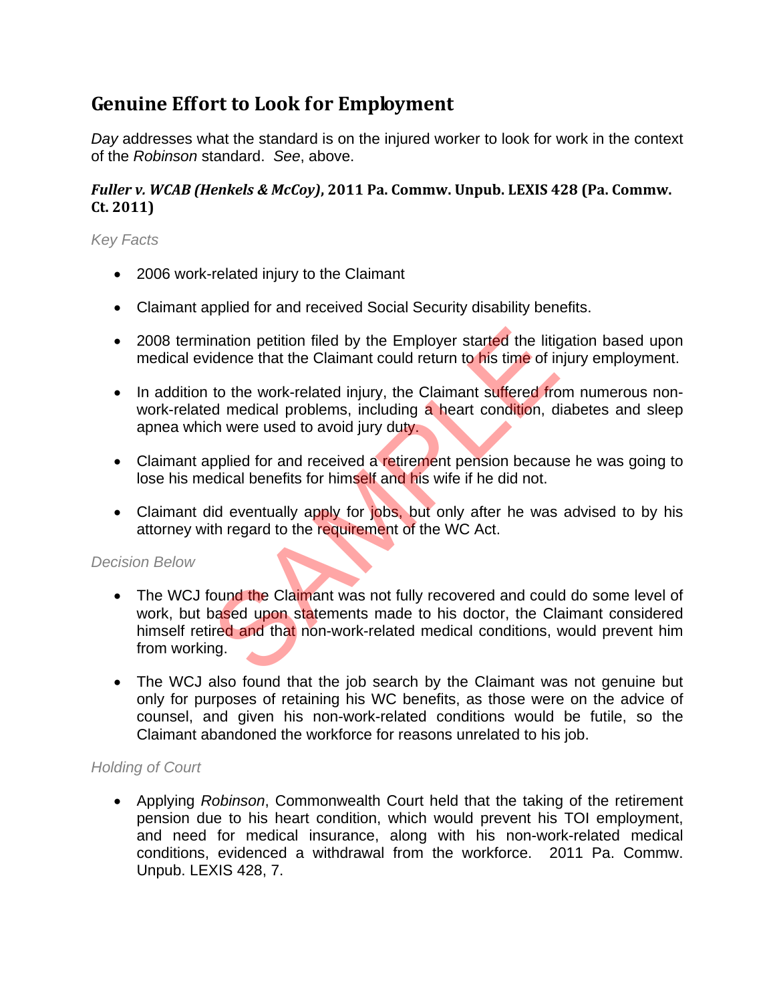# **Genuine Effort to Look for Employment**

*Day* addresses what the standard is on the injured worker to look for work in the context of the *Robinson* standard. *See*, above.

# *Fuller v. WCAB (Henkels & McCoy)***, 2011 Pa. Commw. Unpub. LEXIS 428 (Pa. Commw. Ct. 2011)**

### *Key Facts*

- 2006 work-related injury to the Claimant
- Claimant applied for and received Social Security disability benefits.
- 2008 termination petition filed by the Employer started the litigation based upon medical evidence that the Claimant could return to his time of injury employment.
- In addition to the work-related injury, the Claimant suffered from numerous nonwork-related medical problems, including a heart condition, diabetes and sleep apnea which were used to avoid jury duty.
- Claimant applied for and received a retirement pension because he was going to lose his medical benefits for himself and his wife if he did not.
- Claimant did eventually apply for jobs, but only after he was advised to by his attorney with regard to the requirement of the WC Act.

#### *Decision Below*

- The WCJ found the Claimant was not fully recovered and could do some level of work, but based upon statements made to his doctor, the Claimant considered himself retired and that non-work-related medical conditions, would prevent him from working. nation petition filed by the Employer started the litigrence that the Claimant could return to his time of ir<br>to the work-related injury, the Claimant suffered from<br>the work-related injury, the Claimant suffered from<br>the w
- The WCJ also found that the job search by the Claimant was not genuine but only for purposes of retaining his WC benefits, as those were on the advice of counsel, and given his non-work-related conditions would be futile, so the Claimant abandoned the workforce for reasons unrelated to his job.

#### *Holding of Court*

 Applying *Robinson*, Commonwealth Court held that the taking of the retirement pension due to his heart condition, which would prevent his TOI employment, and need for medical insurance, along with his non-work-related medical conditions, evidenced a withdrawal from the workforce. 2011 Pa. Commw. Unpub. LEXIS 428, 7.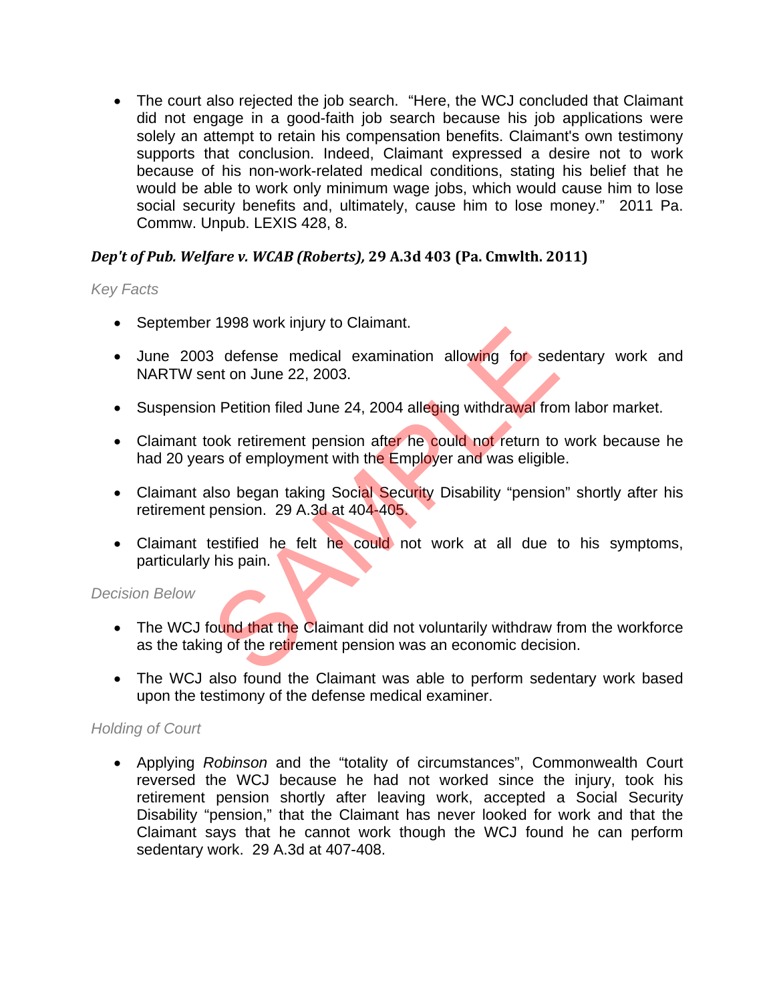The court also rejected the job search. "Here, the WCJ concluded that Claimant did not engage in a good-faith job search because his job applications were solely an attempt to retain his compensation benefits. Claimant's own testimony supports that conclusion. Indeed, Claimant expressed a desire not to work because of his non-work-related medical conditions, stating his belief that he would be able to work only minimum wage jobs, which would cause him to lose social security benefits and, ultimately, cause him to lose money." 2011 Pa. Commw. Unpub. LEXIS 428, 8.

### *Dep't of Pub. Welfare v. WCAB (Roberts),* **29 A.3d 403 (Pa. Cmwlth. 2011)**

#### *Key Facts*

- September 1998 work injury to Claimant.
- June 2003 defense medical examination allowing for sedentary work and NARTW sent on June 22, 2003.
- Suspension Petition filed June 24, 2004 alleging withdrawal from labor market.
- Claimant took retirement pension after he could not return to work because he had 20 years of employment with the Employer and was eligible. 3 defense medical examination allowing for sed<br>ent on June 22, 2003.<br>In Petition filed June 24, 2004 alleging withdrawal from<br>ook retirement pension after he could not return to<br>urs of employment with the Employer and was
- Claimant also began taking Social Security Disability "pension" shortly after his retirement pension. 29 A.3d at 404-405.
- Claimant testified he felt he could not work at all due to his symptoms, particularly his pain.

#### *Decision Below*

- The WCJ found that the Claimant did not voluntarily withdraw from the workforce as the taking of the retirement pension was an economic decision.
- The WCJ also found the Claimant was able to perform sedentary work based upon the testimony of the defense medical examiner.

#### *Holding of Court*

 Applying *Robinson* and the "totality of circumstances", Commonwealth Court reversed the WCJ because he had not worked since the injury, took his retirement pension shortly after leaving work, accepted a Social Security Disability "pension," that the Claimant has never looked for work and that the Claimant says that he cannot work though the WCJ found he can perform sedentary work. 29 A.3d at 407-408.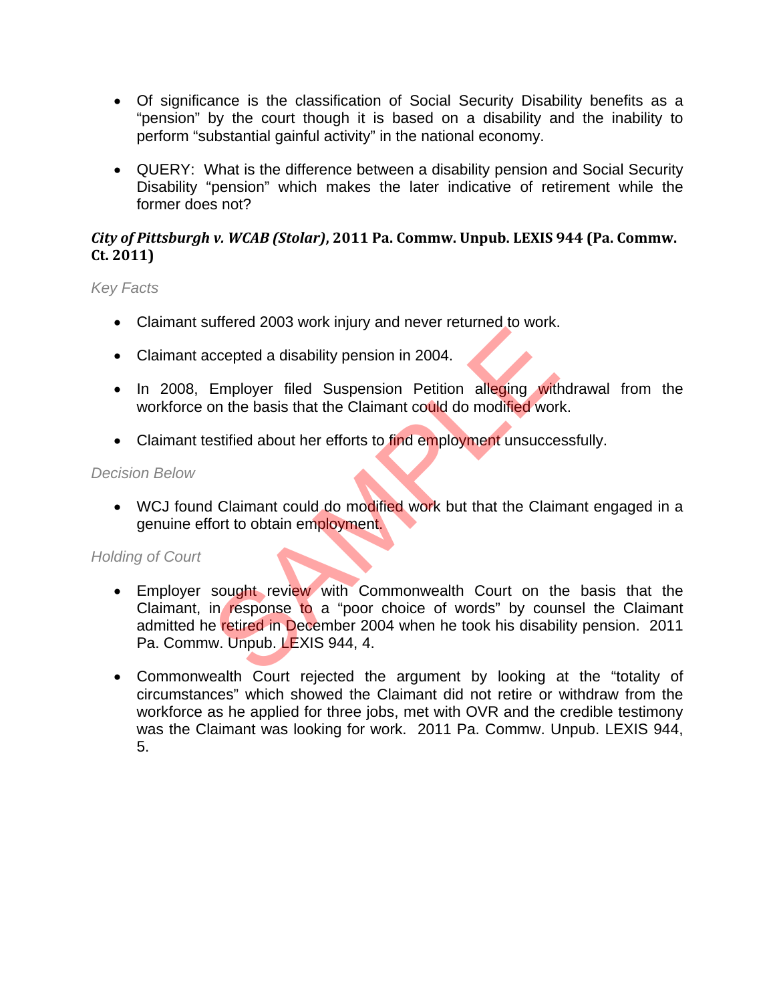- Of significance is the classification of Social Security Disability benefits as a "pension" by the court though it is based on a disability and the inability to perform "substantial gainful activity" in the national economy.
- QUERY: What is the difference between a disability pension and Social Security Disability "pension" which makes the later indicative of retirement while the former does not?

#### *City of Pittsburgh v. WCAB (Stolar)***, 2011 Pa. Commw. Unpub. LEXIS 944 (Pa. Commw. Ct. 2011)**

### *Key Facts*

- Claimant suffered 2003 work injury and never returned to work.
- Claimant accepted a disability pension in 2004.
- In 2008, Employer filed Suspension Petition alleging withdrawal from the workforce on the basis that the Claimant could do modified work.
- Claimant testified about her efforts to find employment unsuccessfully.

#### *Decision Below*

• WCJ found Claimant could do modified work but that the Claimant engaged in a genuine effort to obtain employment.

- Employer sought review with Commonwealth Court on the basis that the Claimant, in response to a "poor choice of words" by counsel the Claimant admitted he retired in December 2004 when he took his disability pension. 2011 Pa. Commw. Unpub. LEXIS 944, 4. ccepted a disability pension in 2004.<br>
Employer filed Suspension Petition alleging with<br>
on the basis that the Claimant could do modified worldstrified about her efforts to find employment unsucce<br>
Statified about her effo
- Commonwealth Court rejected the argument by looking at the "totality of circumstances" which showed the Claimant did not retire or withdraw from the workforce as he applied for three jobs, met with OVR and the credible testimony was the Claimant was looking for work. 2011 Pa. Commw. Unpub. LEXIS 944, 5.